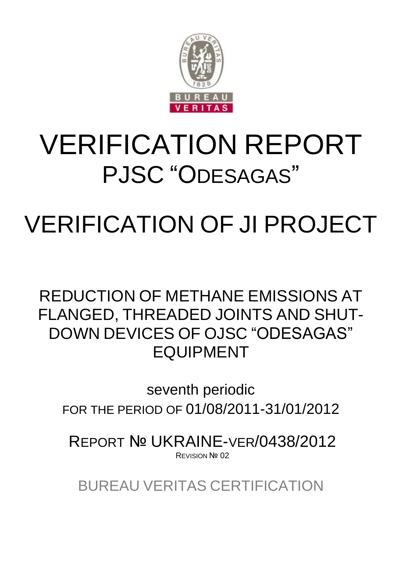

## VERIFICATION REPORT PJSC "ODESAGAS"

# VERIFICATION OF JI PROJECT

REDUCTION OF METHANE EMISSIONS AT FLANGED, THREADED JOINTS AND SHUT-DOWN DEVICES OF OJSC "ODESAGAS" EQUIPMENT

seventh periodic FOR THE PERIOD OF 01/08/2011-31/01/2012

REPORT № UKRAINE-VER/0438/2012 **REVISION Nº 02** 

BUREAU VERITAS CERTIFICATION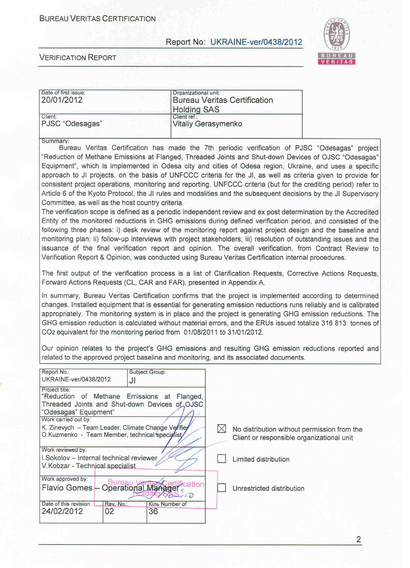

#### **VERIFICATION REPORT**

| Date of first issue:<br>20/01/2012 | Organizational unit:<br><b>Bureau Veritas Certification</b><br><b>Holding SAS</b> |  |  |
|------------------------------------|-----------------------------------------------------------------------------------|--|--|
| Client:                            | Client ref.:                                                                      |  |  |
| PJSC "Odesagas"                    | Vitaliy Gerasymenko                                                               |  |  |

#### Summary:

Bureau Veritas Certification has made the 7th periodic verification of PJSC "Odesagas" project "Reduction of Methane Emissions at Flanged, Threaded Joints and Shut-down Devices of OJSC "Odesagas" Equipment", which is implemented in Odesa city and cities of Odesa region, Ukraine, and uses a specific approach to JI projects, on the basis of UNFCCC criteria for the JI, as well as criteria given to provide for consistent project operations, monitoring and reporting. UNFCCC criteria (but for the crediting period) refer to Article 6 of the Kyoto Protocol, the JI rules and modalities and the subsequent decisions by the JI Supervisory Committee, as well as the host country criteria.

The verification scope is defined as a periodic independent review and ex post determination by the Accredited Entity of the monitored reductions in GHG emissions during defined verification period, and consisted of the following three phases: i) desk review of the monitoring report against project design and the baseline and monitoring plan; ii) follow-up interviews with project stakeholders; iii) resolution of outstanding issues and the issuance of the final verification report and opinion. The overall verification, from Contract Review to Verification Report & Opinion, was conducted using Bureau Veritas Certification internal procedures.

The first output of the verification process is a list of Clarification Requests, Corrective Actions Requests, Forward Actions Requests (CL, CAR and FAR), presented in Appendix A.

In summary, Bureau Veritas Certification confirms that the project is implemented according to determined changes. Installed equipment that is essential for generating emission reductions runs reliably and is calibrated appropriately. The monitoring system is in place and the project is generating GHG emission reductions. The GHG emission reduction is calculated without material errors, and the ERUs issued totalize 316 813 tonnes of CO<sub>2</sub> equivalent for the monitoring period from 01/08/2011 to 31/01/2012.

Our opinion relates to the project's GHG emissions and resulting GHG emission reductions reported and related to the approved project baseline and monitoring, and its associated documents.

| Report No.:<br>UKRAINE-ver/0438/2012                                                                                           | JI              | <b>Subject Group:</b> |  |                                                                                          |
|--------------------------------------------------------------------------------------------------------------------------------|-----------------|-----------------------|--|------------------------------------------------------------------------------------------|
| Project title:<br>"Reduction of Methane Emissions at<br>Threaded Joints and Shut-down Devices of OJSC<br>"Odesagas" Equipment" |                 | Flanged,              |  |                                                                                          |
| Work carried out by:<br>K. Zinevych - Team Leader, Climate Change Verifier<br>O.Kuzmenko - Team Member, technical specialist   |                 |                       |  | No distribution without permission from the<br>Client or responsible organizational unit |
| Work reviewed by:<br>I.Sokolov - Internal technical reviewer<br>V.Kobzar - Technical specialist                                |                 |                       |  | Limited distribution                                                                     |
| Work approved by:<br>Flavio Gomes - Operational Manager<br>ertincation<br>210                                                  |                 |                       |  | Unrestricted distribution                                                                |
| Date of this revision:<br>24/02/2012                                                                                           | Rev. No.:<br>02 | Кіль Number of<br>36  |  |                                                                                          |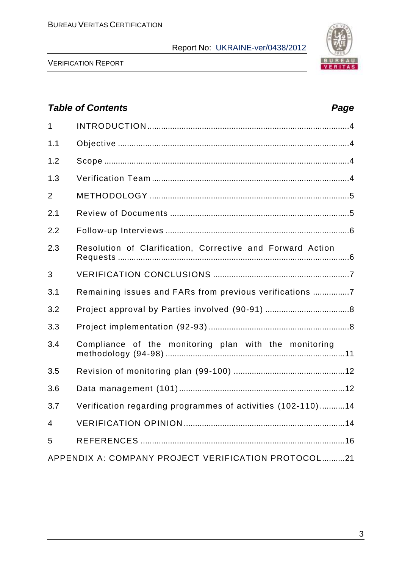

VERIFICATION REPORT

## *Table of Contents Page* 1 INTRODUCTION .........................................................................................4 1.1 Objective ......................................................................................................4 1.2 Scope ............................................................................................................4 1.3 Verification Team .......................................................................................4 2 METHODOLOGY ........................................................................................5 2.1 Review of Documents ...............................................................................5 2.2 Follow-up Interviews .................................................................................6 2.3 Resolution of Clarification, Corrective and Forward Action Requests ......................................................................................................6 3 VERIFICATION CONCLUSIONS ............................................................7 3.1 Remaining issues and FARs from previous verifications ................7 3.2 Project approval by Parties involved (90-91) .....................................8 3.3 Project implementation (92-93) ..............................................................8 3.4 Compliance of the monitoring plan with the monitoring methodology (94-98) ...............................................................................11 3.5 Revision of monitoring plan (99-100) .................................................12 3.6 Data management (101).........................................................................12 3.7 Verification regarding programmes of activities (102-110) ...........14 4 VERIFICATION OPINION .......................................................................14 5 REFERENCES ..........................................................................................16 APPENDIX A: COMPANY PROJECT VERIFICATION PROTOCOL..........21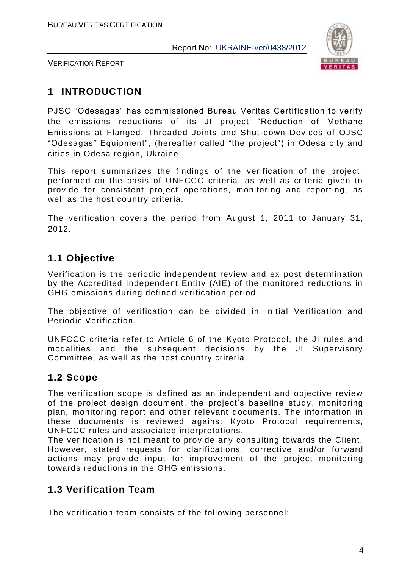

VERIFICATION REPORT

## **1 INTRODUCTION**

PJSC "Odesagas" has commissioned Bureau Veritas Certification to verify the emissions reductions of its JI project "Reduction of Methane Emissions at Flanged, Threaded Joints and Shut-down Devices of OJSC "Odesagas" Equipment", (hereafter called "the project") in Odesa city and cities in Odesa region, Ukraine.

This report summarizes the findings of the verification of the project, performed on the basis of UNFCCC criteria, as well as criteria given to provide for consistent project operations, monitoring and reporting, as well as the host country criteria.

The verification covers the period from August 1, 2011 to January 31, 2012.

## **1.1 Objective**

Verification is the periodic independent review and ex post determination by the Accredited Independent Entity (AIE) of the monitored reductions in GHG emissions during defined verification period.

The objective of verification can be divided in Initial Verification and Periodic Verification.

UNFCCC criteria refer to Article 6 of the Kyoto Protocol, the JI rules and modalities and the subsequent decisions by the JI Supervisory Committee, as well as the host country criteria.

## **1.2 Scope**

The verification scope is defined as an independent and objective review of the project design document, the project's baseline study, monitoring plan, monitoring report and other relevant documents. The information in these documents is reviewed against Kyoto Protocol requirements, UNFCCC rules and associated interpretations.

The verification is not meant to provide any consulting towards the Client. However, stated requests for clarifications, corrective and/or forward actions may provide input for improvement of the project monitoring towards reductions in the GHG emissions.

## **1.3 Verification Team**

The verification team consists of the following personnel: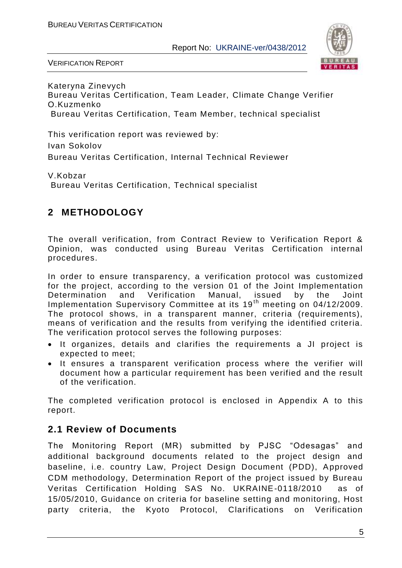

VERIFICATION REPORT

Kateryna Zinevych Bureau Veritas Certification, Team Leader, Climate Change Verifier O.Kuzmenko Bureau Veritas Certification, Team Member, technical specialist

This verification report was reviewed by: Ivan Sokolov Bureau Veritas Certification, Internal Technical Reviewer

V.Kobzar Bureau Veritas Certification, Technical specialist

## **2 METHODOLOGY**

The overall verification, from Contract Review to Verification Report & Opinion, was conducted using Bureau Veritas Certification internal procedures.

In order to ensure transparency, a verification protocol was customized for the project, according to the version 01 of the Joint Implementation Determination and Verification Manual, issued by the Joint Implementation Supervisory Committee at its 19<sup>th</sup> meeting on 04/12/2009. The protocol shows, in a transparent manner, criteria (requirements), means of verification and the results from verifying the identified criteria. The verification protocol serves the following purposes:

- It organizes, details and clarifies the requirements a JI project is expected to meet;
- It ensures a transparent verification process where the verifier will document how a particular requirement has been verified and the result of the verification.

The completed verification protocol is enclosed in Appendix A to this report.

## **2.1 Review of Documents**

The Monitoring Report (MR) submitted by PJSC "Odesagas" and additional background documents related to the project design and baseline, i.e. country Law, Project Design Document (PDD), Approved CDM methodology, Determination Report of the project issued by Bureau Veritas Certification Holding SAS No. UKRAINE-0118/2010 as of 15/05/2010, Guidance on criteria for baseline setting and monitoring, Host party criteria, the Kyoto Protocol, Clarifications on Verification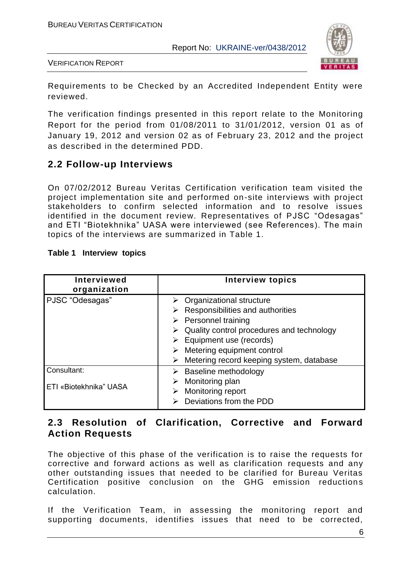

VERIFICATION REPORT

Requirements to be Checked by an Accredited Independent Entity were reviewed.

The verification findings presented in this report relate to the Monitoring Report for the period from 01/08/2011 to 31/01/2012, version 01 as of January 19, 2012 and version 02 as of February 23, 2012 and the project as described in the determined PDD.

## **2.2 Follow-up Interviews**

On 07/02/2012 Bureau Veritas Certification verification team visited the project implementation site and performed on-site interviews with project stakeholders to confirm selected information and to resolve issues identified in the document review. Representatives of PJSC "Odesagas" and ETI "Biotekhnika" UASA were interviewed (see References). The main topics of the interviews are summarized in Table 1.

| <b>Interviewed</b><br>organization    | <b>Interview topics</b>                                                                                                                                                                                                                                                                                       |
|---------------------------------------|---------------------------------------------------------------------------------------------------------------------------------------------------------------------------------------------------------------------------------------------------------------------------------------------------------------|
| PJSC "Odesagas"                       | $\triangleright$ Organizational structure<br>Responsibilities and authorities<br>$\triangleright$ Personnel training<br>Quality control procedures and technology<br>$\triangleright$ Equipment use (records)<br>$\triangleright$ Metering equipment control<br>Metering record keeping system, database<br>➤ |
| Consultant:<br>ETI «Biotekhnika" UASA | <b>Baseline methodology</b><br>Monitoring plan<br>Monitoring report<br>Deviations from the PDD                                                                                                                                                                                                                |

#### **Table 1 Interview topics**

## **2.3 Resolution of Clarification, Corrective and Forward Action Requests**

The objective of this phase of the verification is to raise the requests for corrective and forward actions as well as clarification requests and any other outstanding issues that needed to be clarified for Bureau Veritas Certification positive conclusion on the GHG emission reductions calculation.

If the Verification Team, in assessing the monitoring report and supporting documents, identifies issues that need to be corrected,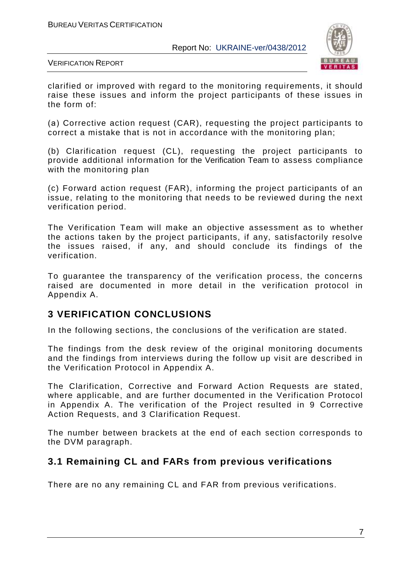

VERIFICATION REPORT

clarified or improved with regard to the monitoring requirements, it should raise these issues and inform the project participants of these issues in the form of:

(а) Corrective action request (CAR), requesting the project participants to correct a mistake that is not in accordance with the monitoring plan;

(b) Clarification request (CL), requesting the project participants to provide additional information for the Verification Team to assess compliance with the monitoring plan

(c) Forward action request (FAR), informing the project participants of an issue, relating to the monitoring that needs to be reviewed during the next verification period.

The Verification Team will make an objective assessment as to whether the actions taken by the project participants, if any, satisfactorily resolve the issues raised, if any, and should conclude its findings of the verification.

To guarantee the transparency of the verification process, the concerns raised are documented in more detail in the verification protocol in Appendix A.

## **3 VERIFICATION CONCLUSIONS**

In the following sections, the conclusions of the verification are stated.

The findings from the desk review of the original monitoring documents and the findings from interviews during the follow up visit are described in the Verification Protocol in Appendix A.

The Clarification, Corrective and Forward Action Requests are stated, where applicable, and are further documented in the Verification Protocol in Appendix A. The verification of the Project resulted in 9 Corrective Action Requests, and 3 Clarification Request.

The number between brackets at the end of each section corresponds to the DVM paragraph.

## **3.1 Remaining CL and FARs from previous verifications**

There are no any remaining CL and FAR from previous verifications.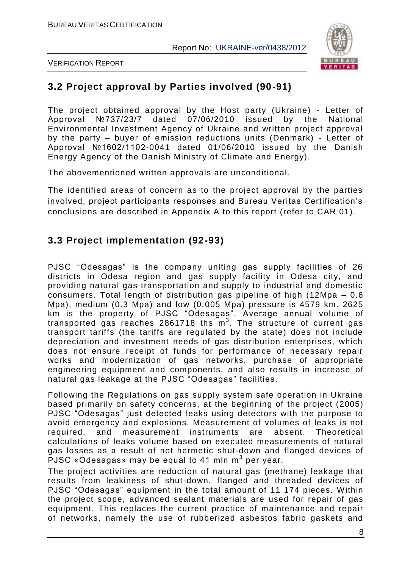

VERIFICATION REPORT

## **3.2 Project approval by Parties involved (90-91)**

The project obtained approval by the Host party (Ukraine) - Letter of Approval №737/23/7 dated 07/06/2010 issued by the National Environmental Investment Agency of Ukraine and written project approval by the party – buyer of emission reductions units (Denmark) - Letter of Approval №1602/1102-0041 dated 01/06/2010 issued by the Danish Energy Agency of the Danish Ministry of Climate and Energy).

The abovementioned written approvals are unconditional.

The identified areas of concern as to the project approval by the parties involved, project participants responses and Bureau Veritas Certification's conclusions are described in Appendix A to this report (refer to CAR 01).

## **3.3 Project implementation (92-93)**

PJSC "Odesagas" is the company uniting gas supply facilities of 26 districts in Odesa region and gas supply facility in Odesa city, and providing natural gas transportation and supply to industrial and domestic consumers. Total length of distribution gas pipeline of high (12Mpa – 0.6 Mpa), medium (0.3 Mpa) and low (0.005 Mpa) pressure is 4579 km. 2625 km is the property of PJSC "Odesagas". Average annual volume of transported gas reaches 2861718 ths  $m^3$ . The structure of current gas transport tariffs (the tariffs are regulated by the state) does not include depreciation and investment needs of gas distribution enterprises, which does not ensure receipt of funds for performance of necessary repair works and modernization of gas networks, purchase of appropriate engineering equipment and components, and also results in increase of natural gas leakage at the PJSC "Odesagas" facilities.

Following the Regulations on gas supply system safe operation in Ukraine based primarily on safety concerns, at the beginning of the project (2005) PJSC "Odesagas" just detected leaks using detectors with the purpose to avoid emergency and explosions. Measurement of volumes of leaks is not required, and measurement instruments are absent. Theoretical calculations of leaks volume based on executed measurements of natural gas losses as a result of not hermetic shut-down and flanged devices of <code>PJSC</code> «Odesagas» may be equal to 41 mln m $^3$  per year.

The project activities are reduction of natural gas (methane) leakage that results from leakiness of shut-down, flanged and threaded devices of PJSC "Odesagas" equipment in the total amount of 11 174 pieces. Within the project scope, advanced sealant materials are used for repair of gas equipment. This replaces the current practice of maintenance and repair of networks, namely the use of rubberized asbestos fabric gaskets and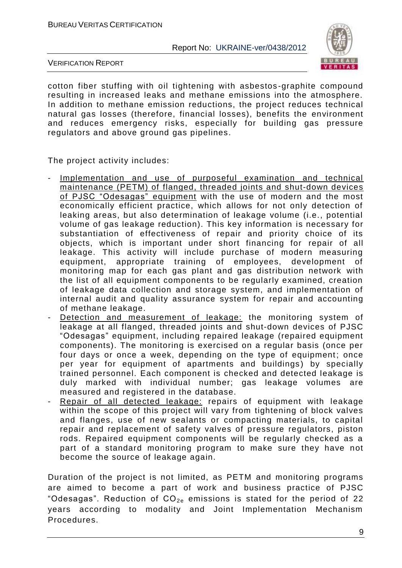

VERIFICATION REPORT

cotton fiber stuffing with oil tightening with asbestos -graphite compound resulting in increased leaks and methane emissions into the atmosphere. In addition to methane emission reductions, the project reduces technical natural gas losses (therefore, financial losses), benefits the environment and reduces emergency risks, especially for building gas pressure regulators and above ground gas pipelines.

The project activity includes:

- Implementation and use of purposeful examination and technical maintenance (PETM) of flanged, threaded joints and shut-down devices of PJSC "Odesagas" equipment with the use of modern and the most economically efficient practice, which allows for not only detection of leaking areas, but also determination of leakage volume (i.e., potential volume of gas leakage reduction). This key information is necessary for substantiation of effectiveness of repair and priority choice of its objects, which is important under short financing for repair of all leakage. This activity will include purchase of modern measuring equipment, appropriate training of employees, development of monitoring map for each gas plant and gas distribution network with the list of all equipment components to be regularly examined, creation of leakage data collection and storage system, and implementation of internal audit and quality assurance system for repair and accounting of methane leakage.
- Detection and measurement of leakage: the monitoring system of leakage at all flanged, threaded joints and shut-down devices of PJSC "Odesagas" equipment, including repaired leakage (repaired equipment components). The monitoring is exercised on a regular basis (once per four days or once a week, depending on the type of equipment; once per year for equipment of apartments and buildings) by specially trained personnel. Each component is checked and detected leakage is duly marked with individual number; gas leakage volumes are measured and registered in the database.
- Repair of all detected leakage: repairs of equipment with leakage within the scope of this project will vary from tightening of block valves and flanges, use of new sealants or compacting materials, to capital repair and replacement of safety valves of pressure regulators, piston rods. Repaired equipment components will be regularly checked as a part of a standard monitoring program to make sure they have not become the source of leakage again.

Duration of the project is not limited, as PETM and monitoring programs are aimed to become a part of work and business practice of PJSC "Odesagas". Reduction of  $CO_{2e}$  emissions is stated for the period of 22 years according to modality and Joint Implementation Mechanism Procedures.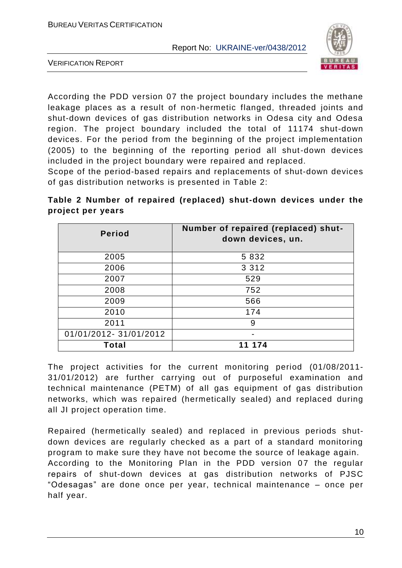

VERIFICATION REPORT

According the PDD version 07 the project boundary includes the methane leakage places as a result of non-hermetic flanged, threaded joints and shut-down devices of gas distribution networks in Odesa city and Odesa region. The project boundary included the total of 11174 shut-down devices. For the period from the beginning of the project implementation (2005) to the beginning of the reporting period all shut-down devices included in the project boundary were repaired and replaced.

Scope of the period-based repairs and replacements of shut-down devices of gas distribution networks is presented in Table 2:

**Table 2 Number of repaired (replaced) shut-down devices under the project per years**

| <b>Period</b>         | Number of repaired (replaced) shut-<br>down devices, un. |
|-----------------------|----------------------------------------------------------|
| 2005                  | 5 8 3 2                                                  |
| 2006                  | 3 3 1 2                                                  |
| 2007                  | 529                                                      |
| 2008                  | 752                                                      |
| 2009                  | 566                                                      |
| 2010                  | 174                                                      |
| 2011                  | 9                                                        |
| 01/01/2012-31/01/2012 |                                                          |
| Total                 | 174                                                      |

The project activities for the current monitoring period (01/08/2011- 31/01/2012) are further carrying out of purposeful examination and technical maintenance (PETM) of all gas equipment of gas distribution networks, which was repaired (hermetically sealed) and replaced during all JI project operation time.

Repaired (hermetically sealed) and replaced in previous periods shutdown devices are regularly checked as a part of a standard monitoring program to make sure they have not become the source of leakage again. According to the Monitoring Plan in the PDD version 07 the regular repairs оf shut-down devices at gas distribution networks of PJSC "Odesagas" are done once per year, technical maintenance – once per half year.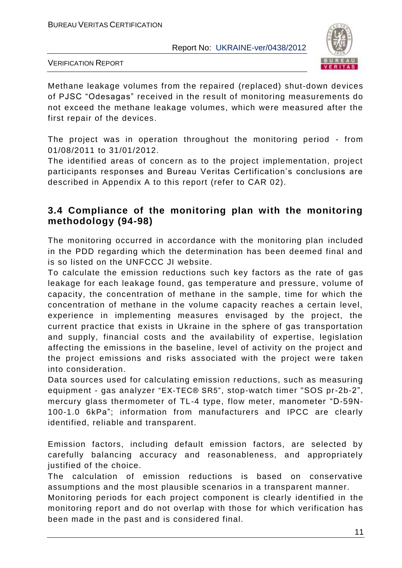

VERIFICATION REPORT

Methane leakage volumes from the repaired (replaced) shut-down devices of PJSC "Odesagas" received in the result of monitoring measurements do not exceed the methane leakage volumes, which were measured after the first repair of the devices.

The project was in operation throughout the monitoring period - from 01/08/2011 to 31/01/2012.

The identified areas of concern as to the project implementation, project participants responses and Bureau Veritas Certification's conclusions are described in Appendix A to this report (refer to CAR 02).

## **3.4 Compliance of the monitoring plan with the monitoring methodology (94-98)**

The monitoring occurred in accordance with the monitoring plan included in the PDD regarding which the determination has been deemed final and is so listed on the UNFCCC JI website.

To calculate the emission reductions such key factors as the rate of gas leakage for each leakage found, gas temperature and pressure, volume of capacity, the concentration of methane in the sample, time for which the concentration of methane in the volume capacity reaches a certain level, experience in implementing measures envisaged by the project, the current practice that exists in Ukraine in the sphere of gas transportation and supply, financial costs and the availability of expertise, legislation affecting the emissions in the baseline, level of activity on the project and the project emissions and risks associated with the project were taken into consideration.

Data sources used for calculating emission reductions, such as measuring equipment - gas analyzer "EX-TEC® SR5", stop-watch timer "SOS pr-2b-2", mercury glass thermometer of TL-4 type, flow meter, manometer "D-59N-100-1.0 6kPа"; information from manufacturers and IPCC are clearly identified, reliable and transparent.

Emission factors, including default emission factors, are selected by carefully balancing accuracy and reasonableness, and appropriately justified of the choice.

The calculation of emission reductions is based on conservative assumptions and the most plausible scenarios in a transparent manner.

Monitoring periods for each project component is clearly identified in the monitoring report and do not overlap with those for which verification has been made in the past and is considered final.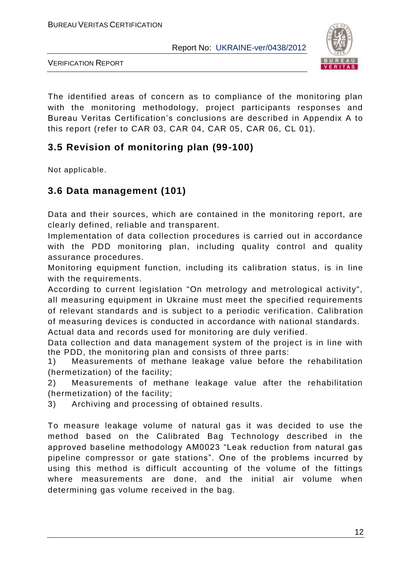

VERIFICATION REPORT

The identified areas of concern as to compliance of the monitoring plan with the monitoring methodology, project participants responses and Bureau Veritas Certification's conclusions are described in Appendix A to this report (refer to CAR 03, CAR 04, CAR 05, CAR 06, CL 01).

## **3.5 Revision of monitoring plan (99-100)**

Not applicable.

## **3.6 Data management (101)**

Data and their sources, which are contained in the monitoring report, are clearly defined, reliable and transparent.

Implementation of data collection procedures is carried out in accordance with the PDD monitoring plan, including quality control and quality assurance procedures.

Monitoring equipment function, including its calibration status, is in line with the requirements.

According to current legislation "On metrology and metrological activity", all measuring equipment in Ukraine must meet the specified requirements of relevant standards and is subject to a periodic verifica tion. Calibration of measuring devices is conducted in accordance with national standards. Actual data and records used for monitoring are duly verified.

Data collection and data management system of the project is in line with the PDD, the monitoring plan and consists of three parts:

1) Measurements of methane leakage value before the rehabilitation (hermetization) of the facility;

2) Measurements of methane leakage value after the rehabilitation (hermetization) of the facility;

3) Archiving and processing of obtained results.

To measure leakage volume of natural gas it was decided to use the method based on the Calibrated Bag Technology described in the approved baseline methodology AM0023 "Leak reduction from natural gas pipeline compressor or gate stations". One of the problems incurred by using this method is difficult accounting of the volume of the fittings where measurements are done, and the initial air volume when determining gas volume received in the bag.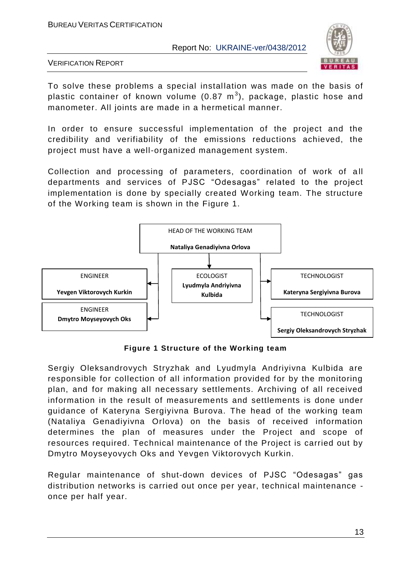

VERIFICATION REPORT

To solve these problems a special installation was made on the basis of plastic container of known volume (0.87  $\textsf{m}^{3}$ ), package, plastic hose and manometer. All joints are made in a hermetical manner.

In order to ensure successful implementation of the project and the credibility and verifiability of the emissions reductions achieved, the project must have a well-organized management system.

Collection and processing of parameters, coordination of work of all departments and services of PJSC "Odesagas" related to the project implementation is done by specially created Working team. The structure of the Working team is shown in the Figure 1.



**Figure 1 Structure of the Working team**

Sergiy Oleksandrovych Stryzhak and Lyudmyla Andriyivna Kulbida are responsible for collection of all information provided for by the monitoring plan, and for making all necessary settlements. Archiving of all received information in the result of measurements and settlements is done under guidance of Kateryna Sergiyivna Burova. The head of the working team (Nataliya Genadiyivna Orlova) on the basis of received information determines the plan of measures under the Project and scope of resources required. Technical maintenance of the Project is carried out by Dmytro Moyseyovych Oks and Yevgen Viktorovych Kurkin.

Regular maintenance of shut-down devices of PJSC "Odesagas" gas distribution networks is carried out once per year, technical maintenance once per half year.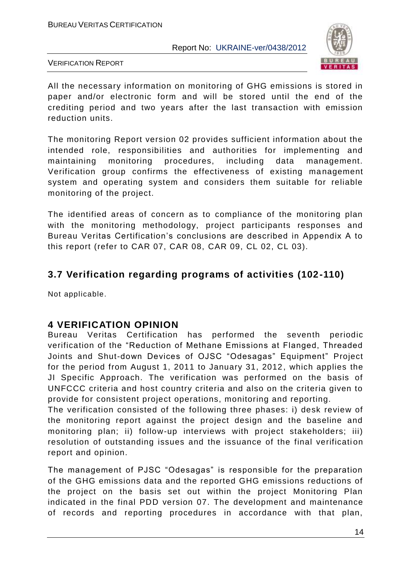

VERIFICATION REPORT

All the necessary information on monitoring of GHG emissions is stored in paper and/or electronic form and will be stored until the end of the crediting period and two years after the last transaction with emission reduction units.

The monitoring Report version 02 provides sufficient information about the intended role, responsibilities and authorities for implementing and maintaining monitoring procedures, including data management. Verification group confirms the effectiveness of existing management system and operating system and considers them suitable for reliable monitoring of the project.

The identified areas of concern as to compliance of the monitoring plan with the monitoring methodology, project participants responses and Bureau Veritas Certification's conclusions are described in Appendix A to this report (refer to CAR 07, CAR 08, CAR 09, CL 02, CL 03).

## **3.7 Verification regarding programs of activities (102-110)**

Not applicable.

## **4 VERIFICATION OPINION**

Bureau Veritas Certification has performed the seventh periodic verification of the "Reduction of Methane Emissions at Flanged, Threaded Joints and Shut-down Devices of OJSC "Odesagas" Equipment" Project for the period from August 1, 2011 to January 31, 2012 , which applies the JI Specific Approach. The verification was performed on the basis of UNFCCC criteria and host country criteria and also on the criteria given to provide for consistent project operations, monitoring and reporting.

The verification consisted of the following three phases: i) desk review of the monitoring report against the project design and the baseline and monitoring plan; ii) follow-up interviews with project stakeholders; iii) resolution of outstanding issues and the issuance of the final verification report and opinion.

The management of PJSC "Odesagas" is responsible for the preparation of the GHG emissions data and the reported GHG emissions reductions of the project on the basis set out within the project Monitoring Plan indicated in the final PDD version 07. The development and maintenance of records and reporting procedures in accordance with that plan,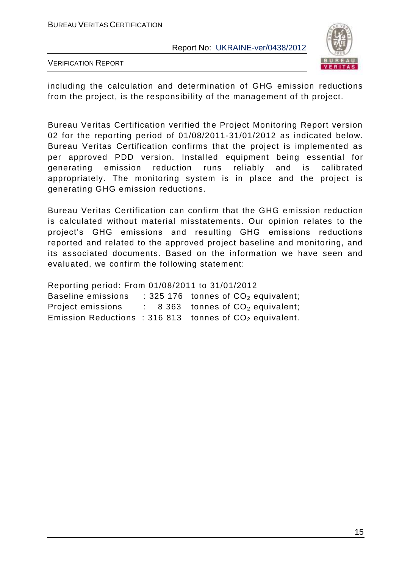

VERIFICATION REPORT

including the calculation and determination of GHG emission reductions from the project, is the responsibility of the management of th project.

Bureau Veritas Certification verified the Project Monitoring Report version 02 for the reporting period of 01/08/2011-31/01/2012 as indicated below. Bureau Veritas Certification confirms that the project is implemented as per approved PDD version. Installed equipment being essential for generating emission reduction runs reliably and is calibrated appropriately. The monitoring system is in place and the project is generating GHG emission reductions.

Bureau Veritas Certification can confirm that the GHG emission reduction is calculated without material misstatements. Our opinion relates to the project's GHG emissions and resulting GHG emissions reductions reported and related to the approved project baseline and monitoring, and its associated documents. Based on the information we have seen and evaluated, we confirm the following statement:

Reporting period: From 01/08/2011 to 31/01/2012 Baseline emissions  $\therefore$  325 176 tonnes of CO<sub>2</sub> equivalent; Project emissions  $\therefore$  8 363 tonnes of  $CO<sub>2</sub>$  equivalent; Emission Reductions : 316 813 tonnes of  $CO<sub>2</sub>$  equivalent.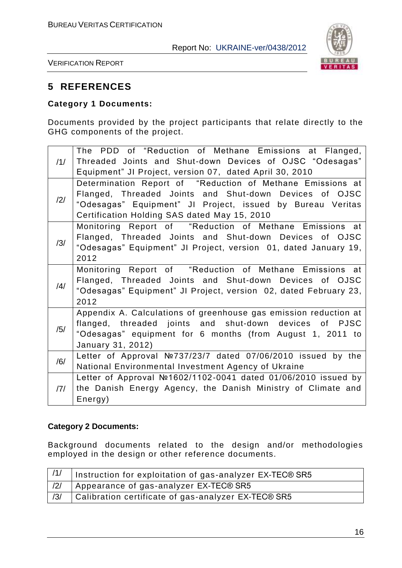

VERIFICATION REPORT

## **5 REFERENCES**

#### **Category 1 Documents:**

Documents provided by the project participants that relate directly to the GHG components of the project.

|     | The PDD of "Reduction of Methane Emissions at Flanged,           |
|-----|------------------------------------------------------------------|
| /1/ | Threaded Joints and Shut-down Devices of OJSC "Odesagas"         |
|     | Equipment" JI Project, version 07, dated April 30, 2010          |
|     | Determination Report of "Reduction of Methane Emissions at       |
|     | Flanged, Threaded Joints and Shut-down Devices of OJSC           |
| /2/ | "Odesagas" Equipment" JI Project, issued by Bureau Veritas       |
|     | Certification Holding SAS dated May 15, 2010                     |
|     | Monitoring Report of "Reduction of Methane Emissions at          |
|     | Flanged, Threaded Joints and Shut-down Devices of OJSC           |
| /3/ | "Odesagas" Equipment" JI Project, version 01, dated January 19,  |
|     | 2012                                                             |
|     | Monitoring Report of "Reduction of Methane Emissions at          |
|     | Flanged, Threaded Joints and Shut-down Devices of OJSC           |
| /4/ | "Odesagas" Equipment" JI Project, version 02, dated February 23, |
|     | 2012                                                             |
|     | Appendix A. Calculations of greenhouse gas emission reduction at |
|     | flanged, threaded joints and shut-down devices of PJSC           |
| /5/ | "Odesagas" equipment for 6 months (from August 1, 2011 to        |
|     | January 31, 2012)                                                |
|     | Letter of Approval №737/23/7 dated 07/06/2010 issued by the      |
| /6/ | National Environmental Investment Agency of Ukraine              |
|     | Letter of Approval №1602/1102-0041 dated 01/06/2010 issued by    |
| /7/ | the Danish Energy Agency, the Danish Ministry of Climate and     |
|     | Energy)                                                          |
|     |                                                                  |

#### **Category 2 Documents:**

Background documents related to the design and/or methodologies employed in the design or other reference documents.

|     | Instruction for exploitation of gas-analyzer EX-TEC® SR5 |
|-----|----------------------------------------------------------|
| /2/ | Appearance of gas-analyzer EX-TEC® SR5                   |
| /3/ | Calibration certificate of gas-analyzer EX-TEC® SR5      |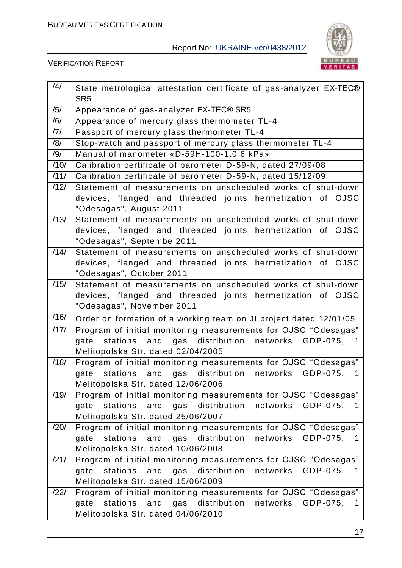

| /4/  | State metrological attestation certificate of gas-analyzer EX-TEC®<br>SR <sub>5</sub>                |  |  |  |  |  |
|------|------------------------------------------------------------------------------------------------------|--|--|--|--|--|
| /5/  | Appearance of gas-analyzer EX-TEC® SR5                                                               |  |  |  |  |  |
| /6/  | Appearance of mercury glass thermometer TL-4                                                         |  |  |  |  |  |
| 7    | Passport of mercury glass thermometer TL-4                                                           |  |  |  |  |  |
| /8/  | Stop-watch and passport of mercury glass thermometer TL-4                                            |  |  |  |  |  |
| /9/  | Manual of manometer «D-59H-100-1.0 6 kPa»                                                            |  |  |  |  |  |
| /10/ | Calibration certificate of barometer D-59-N, dated 27/09/08                                          |  |  |  |  |  |
| /11/ | Calibration certificate of barometer D-59-N, dated 15/12/09                                          |  |  |  |  |  |
| /12/ | Statement of measurements on unscheduled works of shut-down                                          |  |  |  |  |  |
|      | devices, flanged and threaded joints hermetization of OJSC                                           |  |  |  |  |  |
|      | "Odesagas", August 2011                                                                              |  |  |  |  |  |
| /13/ | Statement of measurements on unscheduled works of shut-down                                          |  |  |  |  |  |
|      | devices, flanged and threaded joints hermetization of OJSC                                           |  |  |  |  |  |
|      | "Odesagas", Septembe 2011                                                                            |  |  |  |  |  |
| /14/ | Statement of measurements on unscheduled works of shut-down                                          |  |  |  |  |  |
|      | devices, flanged and threaded joints hermetization of OJSC                                           |  |  |  |  |  |
|      | "Odesagas", October 2011                                                                             |  |  |  |  |  |
| /15/ | Statement of measurements on unscheduled works of shut-down                                          |  |  |  |  |  |
|      | devices, flanged and threaded joints hermetization of OJSC                                           |  |  |  |  |  |
|      | "Odesagas", November 2011                                                                            |  |  |  |  |  |
| /16/ | Order on formation of a working team on JI project dated 12/01/05                                    |  |  |  |  |  |
| /17/ | Program of initial monitoring measurements for OJSC "Odesagas"                                       |  |  |  |  |  |
|      | and gas distribution networks GDP-075,<br>stations<br>gate<br>$\overline{1}$                         |  |  |  |  |  |
|      | Melitopolska Str. dated 02/04/2005                                                                   |  |  |  |  |  |
| /18/ | Program of initial monitoring measurements for OJSC "Odesagas"                                       |  |  |  |  |  |
|      | and gas<br>distribution<br>networks<br>GDP-075,<br>stations<br>gate<br>$\overline{1}$                |  |  |  |  |  |
|      | Melitopolska Str. dated 12/06/2006                                                                   |  |  |  |  |  |
| /19/ | Program of initial monitoring measurements for OJSC "Odesagas"<br>gate                               |  |  |  |  |  |
|      | stations and gas distribution networks GDP-075,                                                      |  |  |  |  |  |
| /20/ | Melitopolska Str. dated 25/06/2007<br>Program of initial monitoring measurements for OJSC "Odesagas" |  |  |  |  |  |
|      | stations and gas distribution networks GDP-075,<br>gate                                              |  |  |  |  |  |
|      | Melitopolska Str. dated 10/06/2008                                                                   |  |  |  |  |  |
| /21/ | Program of initial monitoring measurements for OJSC "Odesagas"                                       |  |  |  |  |  |
|      | stations and gas distribution networks GDP-075,<br>gate                                              |  |  |  |  |  |
|      | Melitopolska Str. dated 15/06/2009                                                                   |  |  |  |  |  |
| /22/ | Program of initial monitoring measurements for OJSC "Odesagas"                                       |  |  |  |  |  |
|      | stations and gas distribution networks GDP-075,<br>gate                                              |  |  |  |  |  |
|      | Melitopolska Str. dated 04/06/2010                                                                   |  |  |  |  |  |
|      |                                                                                                      |  |  |  |  |  |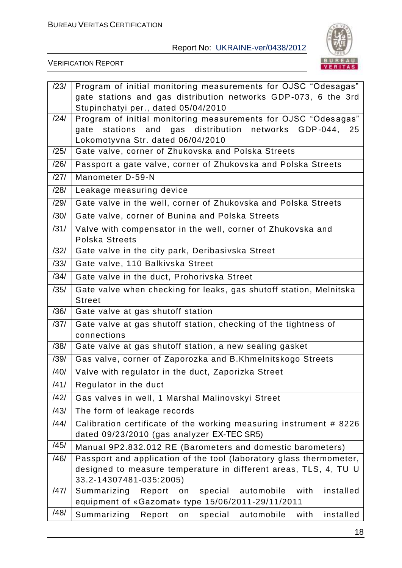

| /23/ | Program of initial monitoring measurements for OJSC "Odesagas"                 |  |  |  |  |
|------|--------------------------------------------------------------------------------|--|--|--|--|
|      | gate stations and gas distribution networks GDP-073, 6 the 3rd                 |  |  |  |  |
|      | Stupinchatyi per., dated 05/04/2010                                            |  |  |  |  |
| /24/ | Program of initial monitoring measurements for OJSC "Odesagas"                 |  |  |  |  |
|      | gate stations and gas distribution networks GDP-044,<br>-25                    |  |  |  |  |
|      | Lokomotyvna Str. dated 06/04/2010                                              |  |  |  |  |
| /25/ | Gate valve, corner of Zhukovska and Polska Streets                             |  |  |  |  |
| /26/ | Passport a gate valve, corner of Zhukovska and Polska Streets                  |  |  |  |  |
| /27/ | Manometer D-59-N                                                               |  |  |  |  |
| /28/ | Leakage measuring device                                                       |  |  |  |  |
| /29/ | Gate valve in the well, corner of Zhukovska and Polska Streets                 |  |  |  |  |
| /30/ | Gate valve, corner of Bunina and Polska Streets                                |  |  |  |  |
| /31/ | Valve with compensator in the well, corner of Zhukovska and                    |  |  |  |  |
|      | <b>Polska Streets</b>                                                          |  |  |  |  |
| /32/ | Gate valve in the city park, Deribasivska Street                               |  |  |  |  |
| /33/ | Gate valve, 110 Balkivska Street                                               |  |  |  |  |
| /34/ | Gate valve in the duct, Prohorivska Street                                     |  |  |  |  |
| /35/ | Gate valve when checking for leaks, gas shutoff station, Melnitska             |  |  |  |  |
|      | <b>Street</b>                                                                  |  |  |  |  |
| /36/ | Gate valve at gas shutoff station                                              |  |  |  |  |
| /37/ | Gate valve at gas shutoff station, checking of the tightness of<br>connections |  |  |  |  |
| /38/ | Gate valve at gas shutoff station, a new sealing gasket                        |  |  |  |  |
| /39/ | Gas valve, corner of Zaporozka and B.Khmelnitskogo Streets                     |  |  |  |  |
| /40/ | Valve with regulator in the duct, Zaporizka Street                             |  |  |  |  |
| /41/ | Regulator in the duct                                                          |  |  |  |  |
| /42/ | Gas valves in well, 1 Marshal Malinovskyi Street                               |  |  |  |  |
| /43/ | The form of leakage records                                                    |  |  |  |  |
| /44/ | Calibration certificate of the working measuring instrument # 8226             |  |  |  |  |
|      | dated 09/23/2010 (gas analyzer EX-TEC SR5)                                     |  |  |  |  |
| /45/ | Manual 9P2.832.012 RE (Barometers and domestic barometers)                     |  |  |  |  |
| /46/ | Passport and application of the tool (laboratory glass thermometer,            |  |  |  |  |
|      | designed to measure temperature in different areas, TLS, 4, TU U               |  |  |  |  |
|      | 33.2-14307481-035:2005)                                                        |  |  |  |  |
| /47/ | automobile<br>with<br>installed<br>Summarizing<br>Report<br>special<br>on      |  |  |  |  |
|      | equipment of «Gazomat» type 15/06/2011-29/11/2011                              |  |  |  |  |
| /48/ | Summarizing<br>Report<br>automobile<br>installed<br>special<br>with<br>on      |  |  |  |  |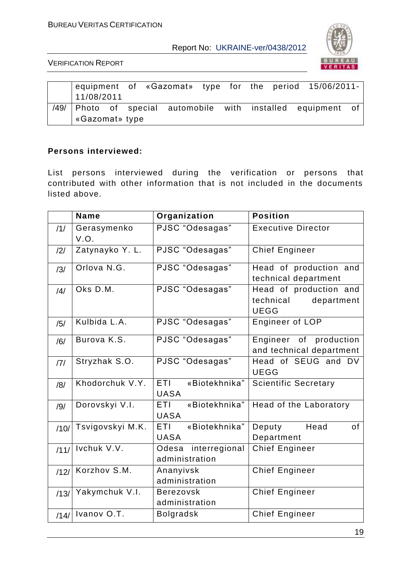

VERIFICATION REPORT

|      |                |  |  |  |  | equipment of «Gazomat» type for the period 15/06/2011- |    |
|------|----------------|--|--|--|--|--------------------------------------------------------|----|
|      | 11/08/2011     |  |  |  |  |                                                        |    |
| /49/ |                |  |  |  |  | Photo of special automobile with installed equipment   | of |
|      | «Gazomat» type |  |  |  |  |                                                        |    |

#### **Persons interviewed:**

List persons interviewed during the verification or persons that contributed with other information that is not included in the documents listed above.

|      | <b>Name</b>         | Organization                               | <b>Position</b>                                                  |  |  |
|------|---------------------|--------------------------------------------|------------------------------------------------------------------|--|--|
| /1/  | Gerasymenko<br>V.O. | PJSC "Odesagas"                            | <b>Executive Director</b>                                        |  |  |
| /2/  | Zatynayko Y. L.     | PJSC "Odesagas"                            | <b>Chief Engineer</b>                                            |  |  |
| /3/  | Orlova N.G.         | PJSC "Odesagas"                            | Head of production and<br>technical department                   |  |  |
| /4/  | Oks D.M.            | PJSC "Odesagas"                            | Head of production and<br>technical<br>department<br><b>UEGG</b> |  |  |
| /5/  | Kulbida L.A.        | PJSC "Odesagas"                            | Engineer of LOP                                                  |  |  |
| /6/  | Burova K.S.         | PJSC "Odesagas"                            | Engineer of production<br>and technical department               |  |  |
| 7    | Stryzhak S.O.       | PJSC "Odesagas"                            | Head of SEUG and<br><b>DV</b><br><b>UEGG</b>                     |  |  |
| /8/  | Khodorchuk V.Y.     | «Biotekhnika"<br>ETI<br><b>UASA</b>        | <b>Scientific Secretary</b>                                      |  |  |
| /9/  | Dorovskyi V.I.      | «Biotekhnika"<br><b>ETI</b><br><b>UASA</b> | Head of the Laboratory                                           |  |  |
| /10/ | Tsvigovskyi M.K.    | «Biotekhnika"<br><b>ETI</b><br><b>UASA</b> | Head<br>Deputy<br>of<br>Department                               |  |  |
| /11/ | Ivchuk V.V.         | Odesa interregional<br>administration      | <b>Chief Engineer</b>                                            |  |  |
| /12/ | Korzhov S.M.        | Ananyivsk<br>administration                | <b>Chief Engineer</b>                                            |  |  |
| /13/ | Yakymchuk V.I.      | <b>Berezovsk</b><br>administration         | <b>Chief Engineer</b>                                            |  |  |
| /14/ | Ivanov O.T.         | <b>Bolgradsk</b>                           | <b>Chief Engineer</b>                                            |  |  |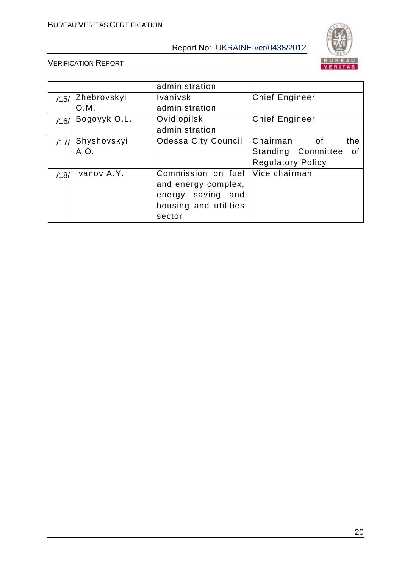

|      |              | administration             |                          |
|------|--------------|----------------------------|--------------------------|
| /15/ | Zhebrovskyi  | <b>Ivanivsk</b>            | <b>Chief Engineer</b>    |
|      | O.M.         | administration             |                          |
| /16/ | Bogovyk O.L. | Ovidiopilsk                | <b>Chief Engineer</b>    |
|      |              | administration             |                          |
| /17/ | Shyshovskyi  | <b>Odessa City Council</b> | Chairman<br>the<br>0f    |
|      | A.O.         |                            | Standing Committee<br>0f |
|      |              |                            | <b>Regulatory Policy</b> |
| /18/ | Ivanov A.Y.  | Commission on fuel         | Vice chairman            |
|      |              | and energy complex,        |                          |
|      |              | saving<br>energy<br>and    |                          |
|      |              | housing and utilities      |                          |
|      |              | sector                     |                          |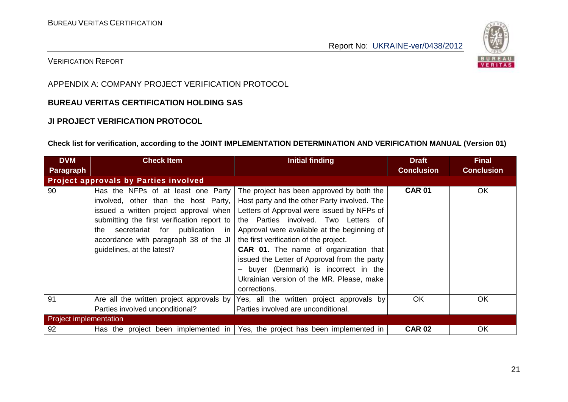

#### VERIFICATION REPORT

#### APPENDIX A: COMPANY PROJECT VERIFICATION PROTOCOL

### **BUREAU VERITAS CERTIFICATION HOLDING SAS**

### **JI PROJECT VERIFICATION PROTOCOL**

#### **Check list for verification, according to the JOINT IMPLEMENTATION DETERMINATION AND VERIFICATION MANUAL (Version 01)**

| <b>DVM</b>             | <b>Check Item</b>                                                                                                                                                                                                                                                                    | <b>Initial finding</b>                                                                                                                                                                                                                                                                                                                                                                                                                                                         | <b>Draft</b>      | <b>Final</b>      |
|------------------------|--------------------------------------------------------------------------------------------------------------------------------------------------------------------------------------------------------------------------------------------------------------------------------------|--------------------------------------------------------------------------------------------------------------------------------------------------------------------------------------------------------------------------------------------------------------------------------------------------------------------------------------------------------------------------------------------------------------------------------------------------------------------------------|-------------------|-------------------|
| Paragraph              |                                                                                                                                                                                                                                                                                      |                                                                                                                                                                                                                                                                                                                                                                                                                                                                                | <b>Conclusion</b> | <b>Conclusion</b> |
|                        | <b>Project approvals by Parties involved</b>                                                                                                                                                                                                                                         |                                                                                                                                                                                                                                                                                                                                                                                                                                                                                |                   |                   |
| 90                     | Has the NFPs of at least one Party<br>involved, other than the host Party,<br>issued a written project approval when<br>submitting the first verification report to<br>secretariat for publication in<br>the<br>accordance with paragraph 38 of the JI<br>guidelines, at the latest? | The project has been approved by both the<br>Host party and the other Party involved. The<br>Letters of Approval were issued by NFPs of<br>the Parties involved. Two Letters of<br>Approval were available at the beginning of<br>the first verification of the project.<br><b>CAR 01.</b> The name of organization that<br>issued the Letter of Approval from the party<br>- buyer (Denmark) is incorrect in the<br>Ukrainian version of the MR. Please, make<br>corrections. | <b>CAR 01</b>     | <b>OK</b>         |
| 91                     | Are all the written project approvals by<br>Parties involved unconditional?                                                                                                                                                                                                          | Yes, all the written project approvals by<br>Parties involved are unconditional.                                                                                                                                                                                                                                                                                                                                                                                               | <b>OK</b>         | <b>OK</b>         |
| Project implementation |                                                                                                                                                                                                                                                                                      |                                                                                                                                                                                                                                                                                                                                                                                                                                                                                |                   |                   |
| 92                     | Has the project been implemented in                                                                                                                                                                                                                                                  | Yes, the project has been implemented in                                                                                                                                                                                                                                                                                                                                                                                                                                       | <b>CAR 02</b>     | <b>OK</b>         |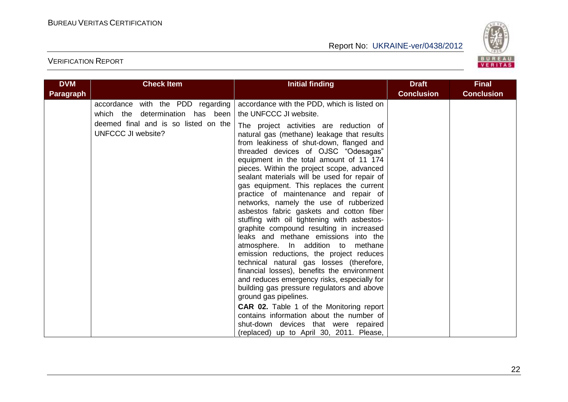

| <b>DVM</b>       | <b>Check Item</b>                                                                                                                          | <b>Initial finding</b>                                                                                                                                                                                                                                                                                                                                                                                                                                                                                                                                                                                                                                               | <b>Draft</b>      | <b>Final</b>      |
|------------------|--------------------------------------------------------------------------------------------------------------------------------------------|----------------------------------------------------------------------------------------------------------------------------------------------------------------------------------------------------------------------------------------------------------------------------------------------------------------------------------------------------------------------------------------------------------------------------------------------------------------------------------------------------------------------------------------------------------------------------------------------------------------------------------------------------------------------|-------------------|-------------------|
| <b>Paragraph</b> |                                                                                                                                            |                                                                                                                                                                                                                                                                                                                                                                                                                                                                                                                                                                                                                                                                      | <b>Conclusion</b> | <b>Conclusion</b> |
|                  | accordance with the PDD regarding<br>which the determination has been<br>deemed final and is so listed on the<br><b>UNFCCC JI website?</b> | accordance with the PDD, which is listed on<br>the UNFCCC JI website.<br>The project activities are reduction of<br>natural gas (methane) leakage that results<br>from leakiness of shut-down, flanged and<br>threaded devices of OJSC "Odesagas"<br>equipment in the total amount of 11 174<br>pieces. Within the project scope, advanced<br>sealant materials will be used for repair of<br>gas equipment. This replaces the current<br>practice of maintenance and repair of<br>networks, namely the use of rubberized                                                                                                                                            |                   |                   |
|                  |                                                                                                                                            | asbestos fabric gaskets and cotton fiber<br>stuffing with oil tightening with asbestos-<br>graphite compound resulting in increased<br>leaks and methane emissions into the<br>atmosphere. In addition to<br>methane<br>emission reductions, the project reduces<br>technical natural gas losses (therefore,<br>financial losses), benefits the environment<br>and reduces emergency risks, especially for<br>building gas pressure regulators and above<br>ground gas pipelines.<br><b>CAR 02.</b> Table 1 of the Monitoring report<br>contains information about the number of<br>shut-down devices that were repaired<br>(replaced) up to April 30, 2011. Please, |                   |                   |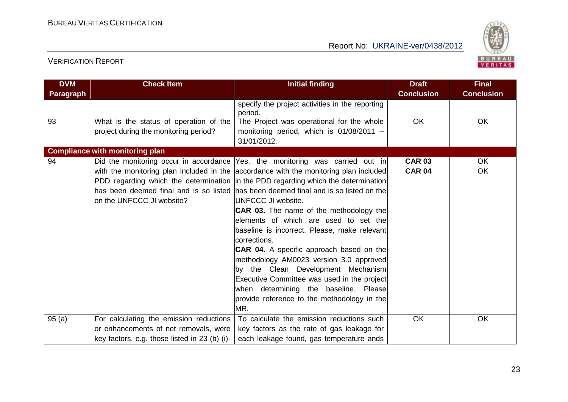

| <b>DVM</b>       | <b>Check Item</b>                             | <b>Initial finding</b>                                                                | <b>Draft</b>      | <b>Final</b>      |
|------------------|-----------------------------------------------|---------------------------------------------------------------------------------------|-------------------|-------------------|
| <b>Paragraph</b> |                                               |                                                                                       | <b>Conclusion</b> | <b>Conclusion</b> |
|                  |                                               | specify the project activities in the reporting<br>period.                            |                   |                   |
| 93               | What is the status of operation of the        | The Project was operational for the whole                                             | OK                | OK                |
|                  | project during the monitoring period?         | monitoring period, which is 01/08/2011 -<br>31/01/2012.                               |                   |                   |
|                  | <b>Compliance with monitoring plan</b>        |                                                                                       |                   |                   |
|                  |                                               |                                                                                       |                   |                   |
| 94               |                                               | Did the monitoring occur in accordance Yes, the monitoring was carried out in         | <b>CAR 03</b>     | OK                |
|                  |                                               | with the monitoring plan included in the accordance with the monitoring plan included | <b>CAR 04</b>     | <b>OK</b>         |
|                  |                                               | PDD regarding which the determination in the PDD regarding which the determination    |                   |                   |
|                  |                                               | has been deemed final and is so listed has been deemed final and is so listed on the  |                   |                   |
|                  | on the UNFCCC JI website?                     | UNFCCC JI website.                                                                    |                   |                   |
|                  |                                               | <b>CAR 03.</b> The name of the methodology the                                        |                   |                   |
|                  |                                               | elements of which are used to set the                                                 |                   |                   |
|                  |                                               | baseline is incorrect. Please, make relevant                                          |                   |                   |
|                  |                                               | corrections.                                                                          |                   |                   |
|                  |                                               | <b>CAR 04.</b> A specific approach based on the                                       |                   |                   |
|                  |                                               | methodology AM0023 version 3.0 approved                                               |                   |                   |
|                  |                                               | by the Clean Development Mechanism                                                    |                   |                   |
|                  |                                               | Executive Committee was used in the project                                           |                   |                   |
|                  |                                               | when determining the baseline. Please                                                 |                   |                   |
|                  |                                               | provide reference to the methodology in the                                           |                   |                   |
|                  |                                               | MR.                                                                                   |                   |                   |
| 95(a)            | For calculating the emission reductions       | To calculate the emission reductions such                                             | <b>OK</b>         | OK                |
|                  | or enhancements of net removals, were         | key factors as the rate of gas leakage for                                            |                   |                   |
|                  | key factors, e.g. those listed in 23 (b) (i)- | each leakage found, gas temperature ands                                              |                   |                   |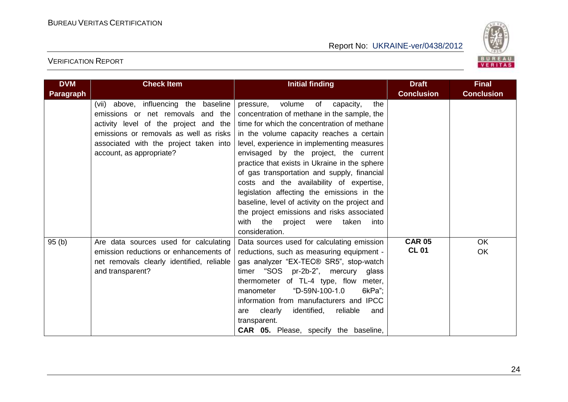

| <b>DVM</b>       | <b>Check Item</b>                                                                                                                                                                                                                   | <b>Initial finding</b>                                                                                                                                                                                                                                                                                                                                                                                                                                                                                                                                                                                                         | <b>Draft</b>                  | <b>Final</b>      |
|------------------|-------------------------------------------------------------------------------------------------------------------------------------------------------------------------------------------------------------------------------------|--------------------------------------------------------------------------------------------------------------------------------------------------------------------------------------------------------------------------------------------------------------------------------------------------------------------------------------------------------------------------------------------------------------------------------------------------------------------------------------------------------------------------------------------------------------------------------------------------------------------------------|-------------------------------|-------------------|
| <b>Paragraph</b> |                                                                                                                                                                                                                                     |                                                                                                                                                                                                                                                                                                                                                                                                                                                                                                                                                                                                                                | <b>Conclusion</b>             | <b>Conclusion</b> |
|                  | (vii) above, influencing the baseline<br>emissions or net removals and the<br>activity level of the project and the<br>emissions or removals as well as risks<br>associated with the project taken into<br>account, as appropriate? | pressure, volume<br>of<br>the<br>capacity,<br>concentration of methane in the sample, the<br>time for which the concentration of methane<br>in the volume capacity reaches a certain<br>level, experience in implementing measures<br>envisaged by the project, the current<br>practice that exists in Ukraine in the sphere<br>of gas transportation and supply, financial<br>costs and the availability of expertise,<br>legislation affecting the emissions in the<br>baseline, level of activity on the project and<br>the project emissions and risks associated<br>with the project were taken<br>into<br>consideration. |                               |                   |
| 95(b)            | Are data sources used for calculating<br>emission reductions or enhancements of<br>net removals clearly identified, reliable<br>and transparent?                                                                                    | Data sources used for calculating emission<br>reductions, such as measuring equipment -<br>gas analyzer "EX-TEC® SR5", stop-watch<br>timer "SOS pr-2b-2", mercury glass<br>thermometer of TL-4 type, flow meter,<br>"D-59N-100-1.0<br>6kPa";<br>manometer<br>information from manufacturers and IPCC<br>clearly identified, reliable<br>and<br>are<br>transparent.<br>CAR 05. Please, specify the baseline,                                                                                                                                                                                                                    | <b>CAR 05</b><br><b>CL 01</b> | <b>OK</b><br>OK   |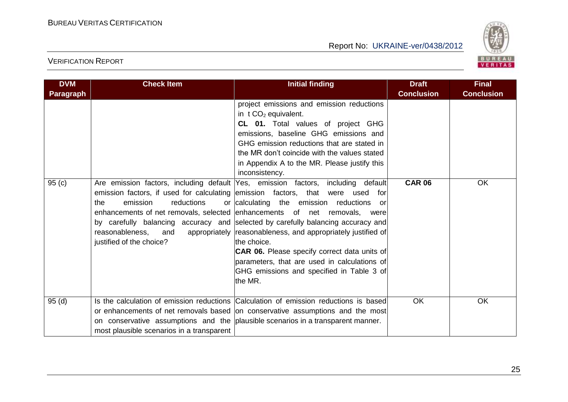

| <b>DVM</b>       | <b>Check Item</b>                                                                   | <b>Initial finding</b>                                                                                                                                                                                                                                                                                                                                                                                                                                                                                                                                                                                                                                                                                                                                                                       | <b>Draft</b>      | <b>Final</b>      |
|------------------|-------------------------------------------------------------------------------------|----------------------------------------------------------------------------------------------------------------------------------------------------------------------------------------------------------------------------------------------------------------------------------------------------------------------------------------------------------------------------------------------------------------------------------------------------------------------------------------------------------------------------------------------------------------------------------------------------------------------------------------------------------------------------------------------------------------------------------------------------------------------------------------------|-------------------|-------------------|
| <b>Paragraph</b> |                                                                                     |                                                                                                                                                                                                                                                                                                                                                                                                                                                                                                                                                                                                                                                                                                                                                                                              | <b>Conclusion</b> | <b>Conclusion</b> |
| 95(c)            | emission<br>reductions<br>the<br>reasonableness.<br>and<br>justified of the choice? | project emissions and emission reductions<br>in $tCO2$ equivalent.<br>CL 01. Total values of project GHG<br>emissions, baseline GHG emissions and<br>GHG emission reductions that are stated in<br>the MR don't coincide with the values stated<br>in Appendix A to the MR. Please justify this<br>inconsistency.<br>Are emission factors, including default Yes, emission factors, including default<br>emission factors, if used for calculating emission factors, that were used<br>for<br>or calculating the emission reductions<br>or o<br>enhancements of net removals, selected enhancements of net removals, were<br>by carefully balancing accuracy and selected by carefully balancing accuracy and<br>appropriately reasonableness, and appropriately justified of<br>the choice. | <b>CAR 06</b>     | <b>OK</b>         |
|                  |                                                                                     | <b>CAR 06.</b> Please specify correct data units of<br>parameters, that are used in calculations of<br>GHG emissions and specified in Table 3 of<br>the MR.                                                                                                                                                                                                                                                                                                                                                                                                                                                                                                                                                                                                                                  |                   |                   |
| 95(d)            | most plausible scenarios in a transparent                                           | Is the calculation of emission reductions Calculation of emission reductions is based<br>or enhancements of net removals based on conservative assumptions and the most<br>on conservative assumptions and the plausible scenarios in a transparent manner.                                                                                                                                                                                                                                                                                                                                                                                                                                                                                                                                  | <b>OK</b>         | OK                |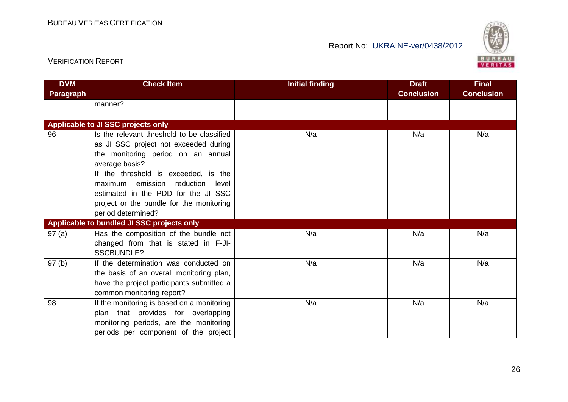

| <b>DVM</b>       | <b>Check Item</b>                          | <b>Initial finding</b> | <b>Draft</b>      | <b>Final</b>      |
|------------------|--------------------------------------------|------------------------|-------------------|-------------------|
| <b>Paragraph</b> |                                            |                        | <b>Conclusion</b> | <b>Conclusion</b> |
|                  | manner?                                    |                        |                   |                   |
|                  |                                            |                        |                   |                   |
|                  | Applicable to JI SSC projects only         |                        |                   |                   |
| 96               | Is the relevant threshold to be classified | N/a                    | N/a               | N/a               |
|                  | as JI SSC project not exceeded during      |                        |                   |                   |
|                  | the monitoring period on an annual         |                        |                   |                   |
|                  | average basis?                             |                        |                   |                   |
|                  | If the threshold is exceeded, is the       |                        |                   |                   |
|                  | emission reduction<br>maximum<br>level     |                        |                   |                   |
|                  | estimated in the PDD for the JI SSC        |                        |                   |                   |
|                  | project or the bundle for the monitoring   |                        |                   |                   |
|                  | period determined?                         |                        |                   |                   |
|                  | Applicable to bundled JI SSC projects only |                        |                   |                   |
| 97(a)            | Has the composition of the bundle not      | N/a                    | N/a               | N/a               |
|                  | changed from that is stated in F-JI-       |                        |                   |                   |
|                  | <b>SSCBUNDLE?</b>                          |                        |                   |                   |
| 97(b)            | If the determination was conducted on      | N/a                    | N/a               | N/a               |
|                  | the basis of an overall monitoring plan,   |                        |                   |                   |
|                  | have the project participants submitted a  |                        |                   |                   |
|                  | common monitoring report?                  |                        |                   |                   |
| 98               | If the monitoring is based on a monitoring | N/a                    | N/a               | N/a               |
|                  | plan that provides for overlapping         |                        |                   |                   |
|                  | monitoring periods, are the monitoring     |                        |                   |                   |
|                  | periods per component of the project       |                        |                   |                   |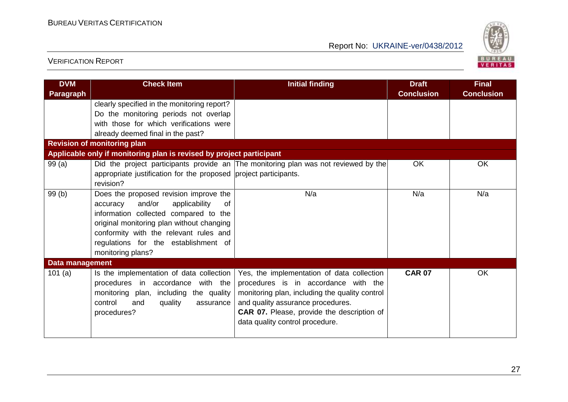

| <b>DVM</b><br><b>Paragraph</b> | <b>Check Item</b>                                                                                                                                                                                                                                                                | <b>Initial finding</b>                                                                                                                                                                                                                                     | <b>Draft</b><br><b>Conclusion</b> | <b>Final</b><br><b>Conclusion</b> |
|--------------------------------|----------------------------------------------------------------------------------------------------------------------------------------------------------------------------------------------------------------------------------------------------------------------------------|------------------------------------------------------------------------------------------------------------------------------------------------------------------------------------------------------------------------------------------------------------|-----------------------------------|-----------------------------------|
|                                | clearly specified in the monitoring report?<br>Do the monitoring periods not overlap<br>with those for which verifications were<br>already deemed final in the past?                                                                                                             |                                                                                                                                                                                                                                                            |                                   |                                   |
|                                | <b>Revision of monitoring plan</b>                                                                                                                                                                                                                                               |                                                                                                                                                                                                                                                            |                                   |                                   |
|                                | Applicable only if monitoring plan is revised by project participant                                                                                                                                                                                                             |                                                                                                                                                                                                                                                            |                                   |                                   |
| 99(a)                          | appropriate justification for the proposed project participants.<br>revision?                                                                                                                                                                                                    | Did the project participants provide an The monitoring plan was not reviewed by the                                                                                                                                                                        | <b>OK</b>                         | <b>OK</b>                         |
| 99(b)                          | Does the proposed revision improve the<br>and/or<br>applicability<br>accuracy<br>0f<br>information collected compared to the<br>original monitoring plan without changing<br>conformity with the relevant rules and<br>regulations for the establishment of<br>monitoring plans? | N/a                                                                                                                                                                                                                                                        | N/a                               | N/a                               |
| Data management                |                                                                                                                                                                                                                                                                                  |                                                                                                                                                                                                                                                            |                                   |                                   |
| 101(a)                         | Is the implementation of data collection<br>procedures in accordance<br>with the<br>monitoring plan, including the quality<br>control<br>and<br>quality<br>assurance<br>procedures?                                                                                              | Yes, the implementation of data collection<br>procedures is in accordance with the<br>monitoring plan, including the quality control<br>and quality assurance procedures.<br>CAR 07. Please, provide the description of<br>data quality control procedure. | <b>CAR 07</b>                     | <b>OK</b>                         |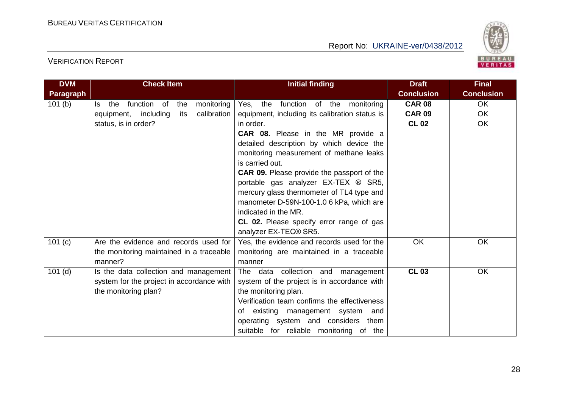

| <b>DVM</b>          | <b>Check Item</b>                                                                                                    | <b>Initial finding</b>                                                                                                                                                                                                                                                                                                                                                                                                                                                                                                                         | <b>Draft</b>                                                        | <b>Final</b>                         |
|---------------------|----------------------------------------------------------------------------------------------------------------------|------------------------------------------------------------------------------------------------------------------------------------------------------------------------------------------------------------------------------------------------------------------------------------------------------------------------------------------------------------------------------------------------------------------------------------------------------------------------------------------------------------------------------------------------|---------------------------------------------------------------------|--------------------------------------|
| Paragraph<br>101(b) | function of<br>monitoring<br>the<br>the<br>ls.<br>calibration<br>equipment, including<br>its<br>status, is in order? | Yes, the function<br>of the monitoring<br>equipment, including its calibration status is<br>in order.<br><b>CAR 08.</b> Please in the MR provide a<br>detailed description by which device the<br>monitoring measurement of methane leaks<br>is carried out.<br><b>CAR 09.</b> Please provide the passport of the<br>portable gas analyzer EX-TEX ® SR5,<br>mercury glass thermometer of TL4 type and<br>manometer D-59N-100-1.0 6 kPa, which are<br>indicated in the MR.<br>CL 02. Please specify error range of gas<br>analyzer EX-TEC® SR5. | <b>Conclusion</b><br><b>CAR 08</b><br><b>CAR 09</b><br><b>CL 02</b> | <b>Conclusion</b><br>OK.<br>OK<br>OK |
| 101 (c)             | Are the evidence and records used for<br>the monitoring maintained in a traceable<br>manner?                         | Yes, the evidence and records used for the<br>monitoring are maintained in a traceable<br>manner                                                                                                                                                                                                                                                                                                                                                                                                                                               | <b>OK</b>                                                           | <b>OK</b>                            |
| $101$ (d)           | Is the data collection and management<br>system for the project in accordance with<br>the monitoring plan?           | The data collection and management<br>system of the project is in accordance with<br>the monitoring plan.<br>Verification team confirms the effectiveness<br>of existing management system and<br>operating system and considers them<br>suitable for reliable monitoring of the                                                                                                                                                                                                                                                               | <b>CL 03</b>                                                        | OK                                   |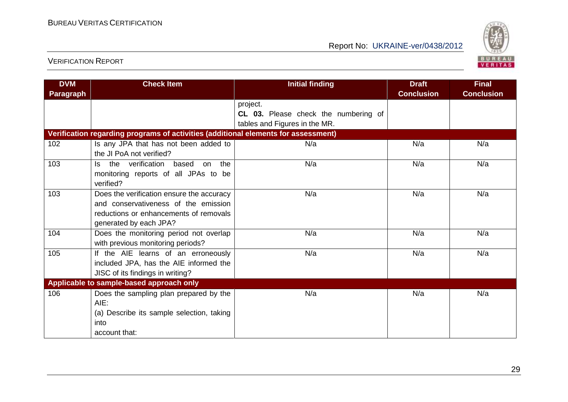

| <b>DVM</b>       | <b>Check Item</b>                                                                  | <b>Initial finding</b>               | <b>Draft</b>      | <b>Final</b>      |
|------------------|------------------------------------------------------------------------------------|--------------------------------------|-------------------|-------------------|
| <b>Paragraph</b> |                                                                                    |                                      | <b>Conclusion</b> | <b>Conclusion</b> |
|                  |                                                                                    | project.                             |                   |                   |
|                  |                                                                                    | CL 03. Please check the numbering of |                   |                   |
|                  |                                                                                    | tables and Figures in the MR.        |                   |                   |
|                  | Verification regarding programs of activities (additional elements for assessment) |                                      |                   |                   |
| 102              | Is any JPA that has not been added to                                              | N/a                                  | N/a               | N/a               |
|                  | the JI PoA not verified?                                                           |                                      |                   |                   |
| 103              | the verification based<br>on the<br>ls.                                            | N/a                                  | N/a               | N/a               |
|                  | monitoring reports of all JPAs to be                                               |                                      |                   |                   |
|                  | verified?                                                                          |                                      |                   |                   |
| 103              | Does the verification ensure the accuracy                                          | N/a                                  | N/a               | N/a               |
|                  | and conservativeness of the emission                                               |                                      |                   |                   |
|                  | reductions or enhancements of removals                                             |                                      |                   |                   |
|                  | generated by each JPA?                                                             |                                      |                   |                   |
| 104              | Does the monitoring period not overlap                                             | N/a                                  | N/a               | N/a               |
|                  | with previous monitoring periods?                                                  |                                      |                   |                   |
| 105              | If the AIE learns of an erroneously                                                | N/a                                  | N/a               | N/a               |
|                  | included JPA, has the AIE informed the                                             |                                      |                   |                   |
|                  | JISC of its findings in writing?                                                   |                                      |                   |                   |
|                  | Applicable to sample-based approach only                                           |                                      |                   |                   |
| 106              | Does the sampling plan prepared by the                                             | N/a                                  | N/a               | N/a               |
|                  | AIE:                                                                               |                                      |                   |                   |
|                  | (a) Describe its sample selection, taking                                          |                                      |                   |                   |
|                  | into                                                                               |                                      |                   |                   |
|                  | account that:                                                                      |                                      |                   |                   |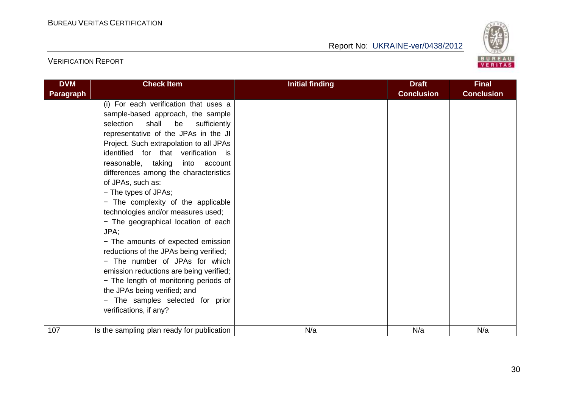

| <b>DVM</b> | <b>Check Item</b>                          | <b>Initial finding</b> | <b>Draft</b>      | <b>Final</b>      |
|------------|--------------------------------------------|------------------------|-------------------|-------------------|
| Paragraph  |                                            |                        | <b>Conclusion</b> | <b>Conclusion</b> |
|            | (i) For each verification that uses a      |                        |                   |                   |
|            | sample-based approach, the sample          |                        |                   |                   |
|            | selection<br>shall<br>be<br>sufficiently   |                        |                   |                   |
|            | representative of the JPAs in the JI       |                        |                   |                   |
|            | Project. Such extrapolation to all JPAs    |                        |                   |                   |
|            | identified for that verification is        |                        |                   |                   |
|            | reasonable, taking<br>into account         |                        |                   |                   |
|            | differences among the characteristics      |                        |                   |                   |
|            | of JPAs, such as:                          |                        |                   |                   |
|            | - The types of JPAs;                       |                        |                   |                   |
|            | - The complexity of the applicable         |                        |                   |                   |
|            | technologies and/or measures used;         |                        |                   |                   |
|            | - The geographical location of each        |                        |                   |                   |
|            | JPA;                                       |                        |                   |                   |
|            | - The amounts of expected emission         |                        |                   |                   |
|            | reductions of the JPAs being verified;     |                        |                   |                   |
|            | - The number of JPAs for which             |                        |                   |                   |
|            | emission reductions are being verified;    |                        |                   |                   |
|            | - The length of monitoring periods of      |                        |                   |                   |
|            | the JPAs being verified; and               |                        |                   |                   |
|            | - The samples selected for prior           |                        |                   |                   |
|            | verifications, if any?                     |                        |                   |                   |
|            |                                            |                        |                   |                   |
| 107        | Is the sampling plan ready for publication | N/a                    | N/a               | N/a               |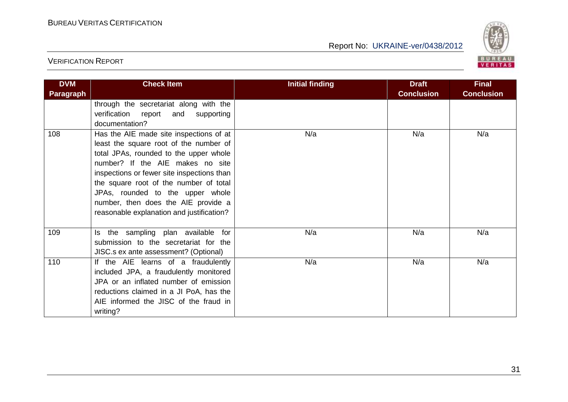

| <b>DVM</b> | <b>Check Item</b>                          | <b>Initial finding</b> | <b>Draft</b>      | <b>Final</b>      |
|------------|--------------------------------------------|------------------------|-------------------|-------------------|
| Paragraph  |                                            |                        | <b>Conclusion</b> | <b>Conclusion</b> |
|            | through the secretariat along with the     |                        |                   |                   |
|            | verification report<br>and<br>supporting   |                        |                   |                   |
|            | documentation?                             |                        |                   |                   |
| 108        | Has the AIE made site inspections of at    | N/a                    | N/a               | N/a               |
|            | least the square root of the number of     |                        |                   |                   |
|            | total JPAs, rounded to the upper whole     |                        |                   |                   |
|            | number? If the AIE makes no site           |                        |                   |                   |
|            | inspections or fewer site inspections than |                        |                   |                   |
|            | the square root of the number of total     |                        |                   |                   |
|            | JPAs, rounded to the upper whole           |                        |                   |                   |
|            | number, then does the AIE provide a        |                        |                   |                   |
|            | reasonable explanation and justification?  |                        |                   |                   |
|            |                                            |                        |                   |                   |
| 109        | the sampling plan available for<br>Is.     | N/a                    | N/a               | N/a               |
|            | submission to the secretariat for the      |                        |                   |                   |
|            | JISC.s ex ante assessment? (Optional)      |                        |                   |                   |
| 110        | If the AIE learns of a fraudulently        | N/a                    | N/a               | N/a               |
|            | included JPA, a fraudulently monitored     |                        |                   |                   |
|            | JPA or an inflated number of emission      |                        |                   |                   |
|            | reductions claimed in a JI PoA, has the    |                        |                   |                   |
|            | AIE informed the JISC of the fraud in      |                        |                   |                   |
|            | writing?                                   |                        |                   |                   |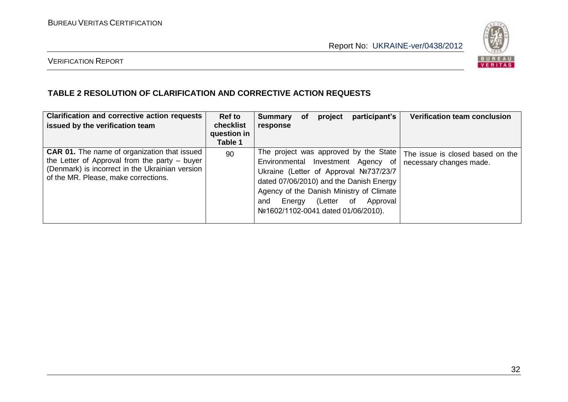

### VERIFICATION REPORT

#### **TABLE 2 RESOLUTION OF CLARIFICATION AND CORRECTIVE ACTION REQUESTS**

| <b>Clarification and corrective action requests</b><br>issued by the verification team                                                                                                            | <b>Ref to</b><br>checklist<br>question in<br>Table 1 | participant's<br><b>Verification team conclusion</b><br>project<br><b>Summary</b><br>οf<br>response                                                                                                                                                                                                                                                          |
|---------------------------------------------------------------------------------------------------------------------------------------------------------------------------------------------------|------------------------------------------------------|--------------------------------------------------------------------------------------------------------------------------------------------------------------------------------------------------------------------------------------------------------------------------------------------------------------------------------------------------------------|
| <b>CAR 01.</b> The name of organization that issued<br>the Letter of Approval from the party $-$ buyer<br>(Denmark) is incorrect in the Ukrainian version<br>of the MR. Please, make corrections. | 90                                                   | The project was approved by the State<br>The issue is closed based on the<br>Environmental Investment Agency of<br>necessary changes made.<br>Ukraine (Letter of Approval №737/23/7<br>dated 07/06/2010) and the Danish Energy<br>Agency of the Danish Ministry of Climate<br>(Letter of<br>Energy<br>Approval<br>and<br>Nº1602/1102-0041 dated 01/06/2010). |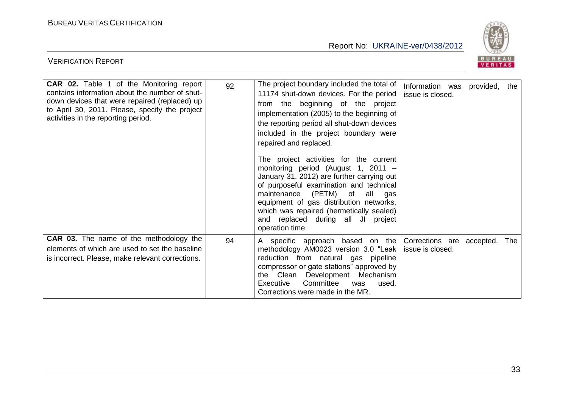VERIFICATION REPORT

Report No: UKRAINE-ver/0438/2012



| CAR 02. Table 1 of the Monitoring report<br>contains information about the number of shut-<br>down devices that were repaired (replaced) up<br>to April 30, 2011. Please, specify the project<br>activities in the reporting period. | 92 | The project boundary included the total of<br>11174 shut-down devices. For the period<br>from the beginning of the project<br>implementation (2005) to the beginning of<br>the reporting period all shut-down devices<br>included in the project boundary were<br>repaired and replaced.<br>The project activities for the current<br>monitoring period (August 1, 2011 -<br>January 31, 2012) are further carrying out<br>of purposeful examination and technical<br>(PETM) of<br>maintenance<br>all<br>gas<br>equipment of gas distribution networks,<br>which was repaired (hermetically sealed)<br>and replaced during all JI project<br>operation time. | Information was provided, the<br>issue is closed. |     |
|--------------------------------------------------------------------------------------------------------------------------------------------------------------------------------------------------------------------------------------|----|--------------------------------------------------------------------------------------------------------------------------------------------------------------------------------------------------------------------------------------------------------------------------------------------------------------------------------------------------------------------------------------------------------------------------------------------------------------------------------------------------------------------------------------------------------------------------------------------------------------------------------------------------------------|---------------------------------------------------|-----|
| <b>CAR 03.</b> The name of the methodology the<br>elements of which are used to set the baseline<br>is incorrect. Please, make relevant corrections.                                                                                 | 94 | A specific approach based on the<br>methodology AM0023 version 3.0 "Leak<br>reduction from natural gas pipeline<br>compressor or gate stations" approved by<br>the Clean Development Mechanism<br>Committee<br>Executive<br>was<br>used.<br>Corrections were made in the MR.                                                                                                                                                                                                                                                                                                                                                                                 | Corrections are accepted.<br>issue is closed.     | The |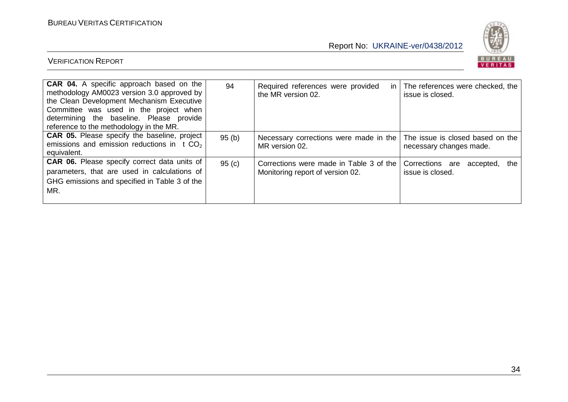

| <b>CAR 04.</b> A specific approach based on the<br>methodology AM0023 version 3.0 approved by<br>the Clean Development Mechanism Executive<br>Committee was used in the project when<br>determining the baseline. Please provide<br>reference to the methodology in the MR. | 94    | Required references were provided<br>$\mathsf{in}$<br>the MR version 02.                    | The references were checked, the<br>issue is closed.    |
|-----------------------------------------------------------------------------------------------------------------------------------------------------------------------------------------------------------------------------------------------------------------------------|-------|---------------------------------------------------------------------------------------------|---------------------------------------------------------|
| <b>CAR 05.</b> Please specify the baseline, project<br>emissions and emission reductions in $t CO2$<br>equivalent.                                                                                                                                                          | 95(b) | Necessary corrections were made in the   The issue is closed based on the<br>MR version 02. | necessary changes made.                                 |
| <b>CAR 06.</b> Please specify correct data units of<br>parameters, that are used in calculations of<br>GHG emissions and specified in Table 3 of the<br>MR.                                                                                                                 | 95(c) | Corrections were made in Table 3 of the<br>Monitoring report of version 02.                 | Corrections are<br>the<br>accepted.<br>issue is closed. |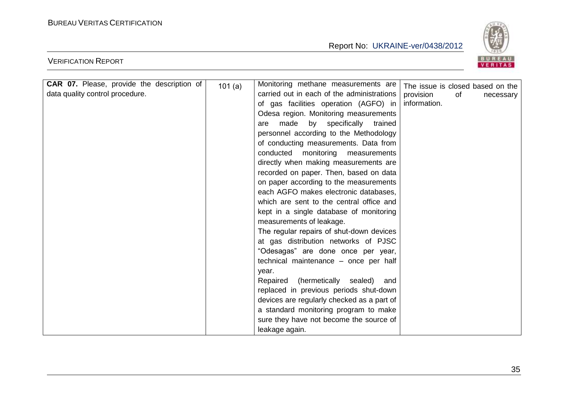

| <b>CAR 07.</b> Please, provide the description of | 101(a) | Monitoring methane measurements are        | The issue is closed based on the |
|---------------------------------------------------|--------|--------------------------------------------|----------------------------------|
| data quality control procedure.                   |        | carried out in each of the administrations | provision<br>of<br>necessary     |
|                                                   |        | of gas facilities operation (AGFO) in      | information.                     |
|                                                   |        | Odesa region. Monitoring measurements      |                                  |
|                                                   |        | made by specifically trained<br>are        |                                  |
|                                                   |        | personnel according to the Methodology     |                                  |
|                                                   |        | of conducting measurements. Data from      |                                  |
|                                                   |        | conducted monitoring measurements          |                                  |
|                                                   |        | directly when making measurements are      |                                  |
|                                                   |        | recorded on paper. Then, based on data     |                                  |
|                                                   |        | on paper according to the measurements     |                                  |
|                                                   |        | each AGFO makes electronic databases,      |                                  |
|                                                   |        | which are sent to the central office and   |                                  |
|                                                   |        | kept in a single database of monitoring    |                                  |
|                                                   |        | measurements of leakage.                   |                                  |
|                                                   |        | The regular repairs of shut-down devices   |                                  |
|                                                   |        | at gas distribution networks of PJSC       |                                  |
|                                                   |        | "Odesagas" are done once per year,         |                                  |
|                                                   |        | technical maintenance - once per half      |                                  |
|                                                   |        | year.                                      |                                  |
|                                                   |        | Repaired (hermetically sealed)<br>and      |                                  |
|                                                   |        | replaced in previous periods shut-down     |                                  |
|                                                   |        | devices are regularly checked as a part of |                                  |
|                                                   |        | a standard monitoring program to make      |                                  |
|                                                   |        | sure they have not become the source of    |                                  |
|                                                   |        | leakage again.                             |                                  |